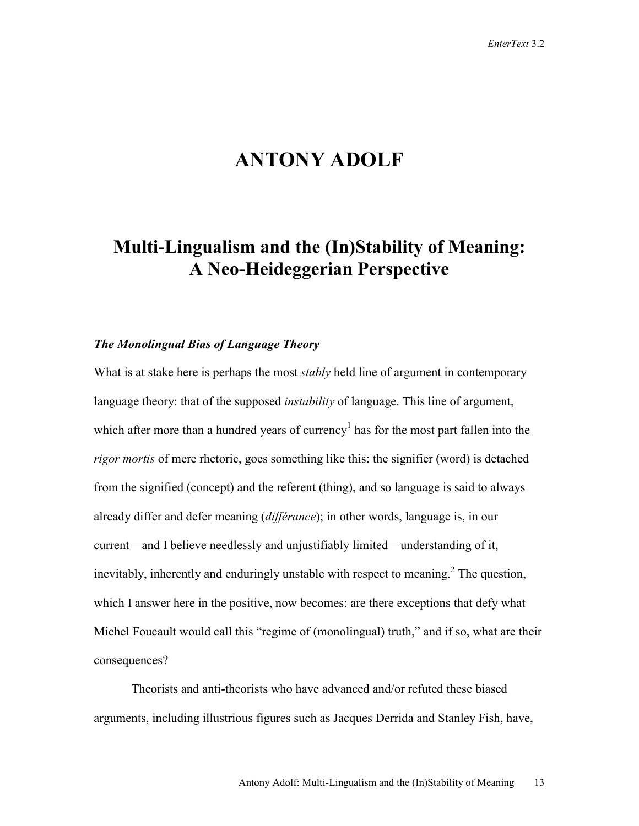# **ANTONY ADOLF**

## **Multi-Lingualism and the (In)Stability of Meaning: A Neo-Heideggerian Perspective**

### *The Monolingual Bias of Language Theory*

What is at stake here is perhaps the most *stably* held line of argument in contemporary language theory: that of the supposed *instability* of language. This line of argument, which after more than a hundred years of currency<sup>1</sup> has for the most part fallen into the *rigor mortis* of mere rhetoric, goes something like this: the signifier (word) is detached from the signified (concept) and the referent (thing), and so language is said to always already differ and defer meaning (*différance*); in other words, language is, in our current—and I believe needlessly and unjustifiably limited—understanding of it, inevitably, inherently and enduringly unstable with respect to meaning.<sup>2</sup> The question, which I answer here in the positive, now becomes: are there exceptions that defy what Michel Foucault would call this "regime of (monolingual) truth," and if so, what are their consequences?

Theorists and anti-theorists who have advanced and/or refuted these biased arguments, including illustrious figures such as Jacques Derrida and Stanley Fish, have,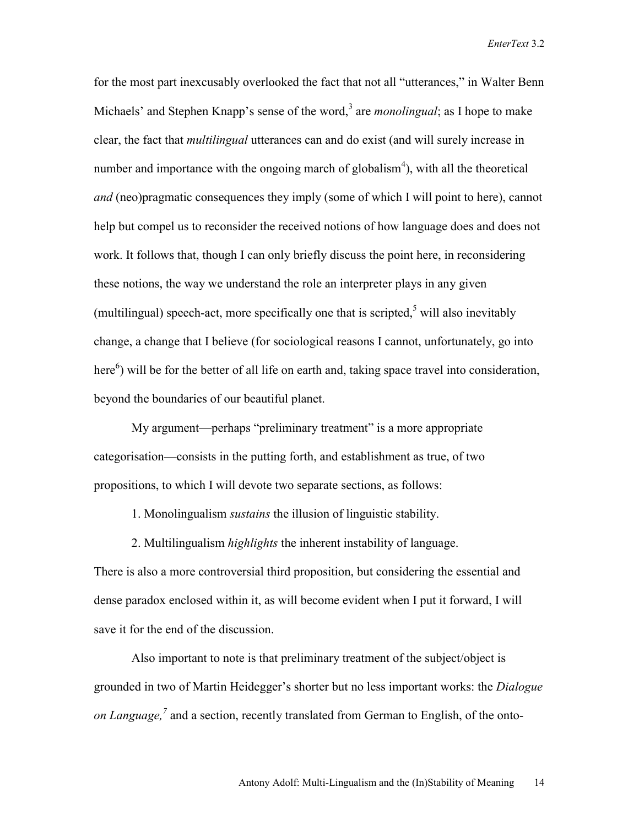for the most part inexcusably overlooked the fact that not all "utterances," in Walter Benn Michaels' and Stephen Knapp's sense of the word,<sup>3</sup> are *monolingual*; as I hope to make clear, the fact that *multilingual* utterances can and do exist (and will surely increase in number and importance with the ongoing march of globalism<sup>4</sup>), with all the theoretical *and* (neo)pragmatic consequences they imply (some of which I will point to here), cannot help but compel us to reconsider the received notions of how language does and does not work. It follows that, though I can only briefly discuss the point here, in reconsidering these notions, the way we understand the role an interpreter plays in any given (multilingual) speech-act, more specifically one that is scripted,<sup>5</sup> will also inevitably change, a change that I believe (for sociological reasons I cannot, unfortunately, go into here<sup>6</sup>) will be for the better of all life on earth and, taking space travel into consideration, beyond the boundaries of our beautiful planet.

My argument—perhaps "preliminary treatment" is a more appropriate categorisation—consists in the putting forth, and establishment as true, of two propositions, to which I will devote two separate sections, as follows:

- 1. Monolingualism *sustains* the illusion of linguistic stability.
- 2. Multilingualism *highlights* the inherent instability of language.

There is also a more controversial third proposition, but considering the essential and dense paradox enclosed within it, as will become evident when I put it forward, I will save it for the end of the discussion.

Also important to note is that preliminary treatment of the subject/object is grounded in two of Martin Heidegger's shorter but no less important works: the *Dialogue on Language*,<sup>7</sup> and a section, recently translated from German to English, of the onto-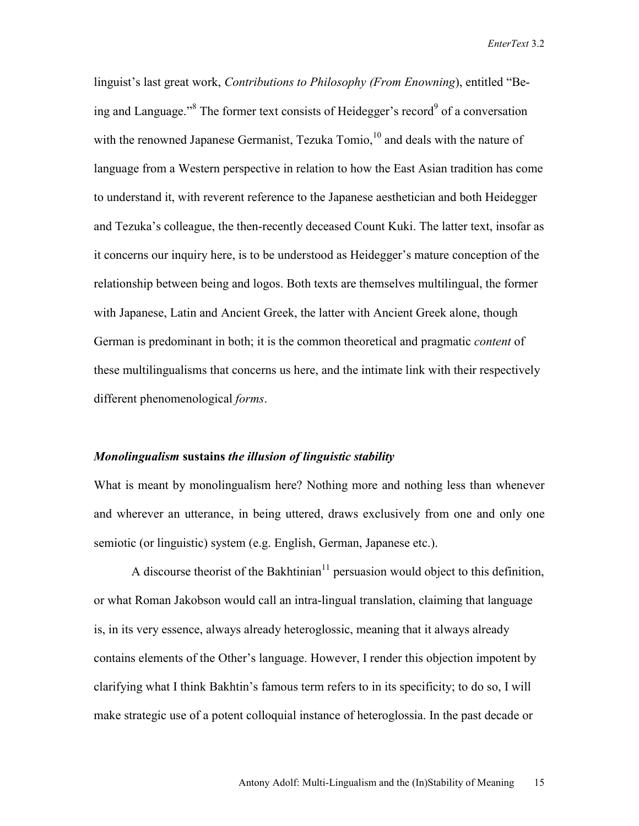linguist's last great work, *Contributions to Philosophy (From Enowning*), entitled "Being and Language."<sup>8</sup> The former text consists of Heidegger's record<sup>9</sup> of a conversation with the renowned Japanese Germanist, Tezuka Tomio, $^{10}$  and deals with the nature of language from a Western perspective in relation to how the East Asian tradition has come to understand it, with reverent reference to the Japanese aesthetician and both Heidegger and Tezuka's colleague, the then-recently deceased Count Kuki. The latter text, insofar as it concerns our inquiry here, is to be understood as Heidegger's mature conception of the relationship between being and logos. Both texts are themselves multilingual, the former with Japanese, Latin and Ancient Greek, the latter with Ancient Greek alone, though German is predominant in both; it is the common theoretical and pragmatic *content* of these multilingualisms that concerns us here, and the intimate link with their respectively different phenomenological *forms*.

#### *Monolingualism* **sustains** *the illusion of linguistic stability*

What is meant by monolingualism here? Nothing more and nothing less than whenever and wherever an utterance, in being uttered, draws exclusively from one and only one semiotic (or linguistic) system (e.g. English, German, Japanese etc.).

A discourse theorist of the Bakhtinian<sup>11</sup> persuasion would object to this definition, or what Roman Jakobson would call an intra-lingual translation, claiming that language is, in its very essence, always already heteroglossic, meaning that it always already contains elements of the Other's language. However, I render this objection impotent by clarifying what I think Bakhtin's famous term refers to in its specificity; to do so, I will make strategic use of a potent colloquial instance of heteroglossia. In the past decade or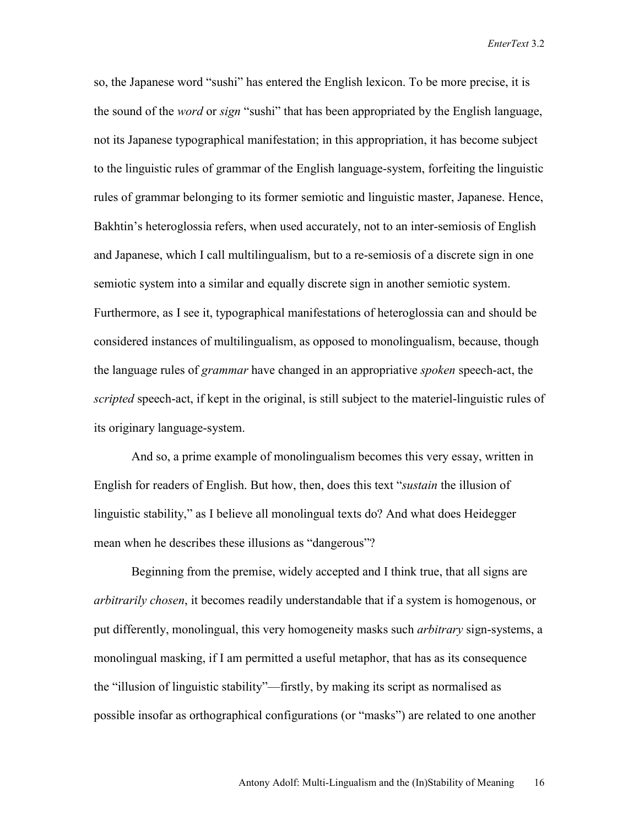so, the Japanese word "sushi" has entered the English lexicon. To be more precise, it is the sound of the *word* or *sign* "sushi" that has been appropriated by the English language, not its Japanese typographical manifestation; in this appropriation, it has become subject to the linguistic rules of grammar of the English language-system, forfeiting the linguistic rules of grammar belonging to its former semiotic and linguistic master, Japanese. Hence, Bakhtin's heteroglossia refers, when used accurately, not to an inter-semiosis of English and Japanese, which I call multilingualism, but to a re-semiosis of a discrete sign in one semiotic system into a similar and equally discrete sign in another semiotic system. Furthermore, as I see it, typographical manifestations of heteroglossia can and should be considered instances of multilingualism, as opposed to monolingualism, because, though the language rules of *grammar* have changed in an appropriative *spoken* speech-act, the *scripted* speech-act, if kept in the original, is still subject to the materiel-linguistic rules of its originary language-system.

 And so, a prime example of monolingualism becomes this very essay, written in English for readers of English. But how, then, does this text "*sustain* the illusion of linguistic stability," as I believe all monolingual texts do? And what does Heidegger mean when he describes these illusions as "dangerous"?

 Beginning from the premise, widely accepted and I think true, that all signs are *arbitrarily chosen*, it becomes readily understandable that if a system is homogenous, or put differently, monolingual, this very homogeneity masks such *arbitrary* sign-systems, a monolingual masking, if I am permitted a useful metaphor, that has as its consequence the "illusion of linguistic stability"—firstly, by making its script as normalised as possible insofar as orthographical configurations (or "masks") are related to one another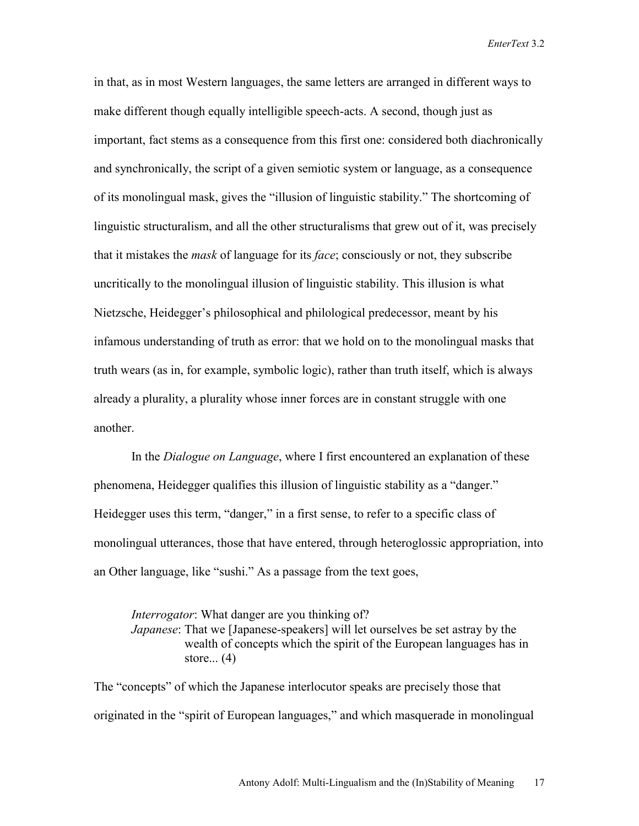in that, as in most Western languages, the same letters are arranged in different ways to make different though equally intelligible speech-acts. A second, though just as important, fact stems as a consequence from this first one: considered both diachronically and synchronically, the script of a given semiotic system or language, as a consequence of its monolingual mask, gives the "illusion of linguistic stability." The shortcoming of linguistic structuralism, and all the other structuralisms that grew out of it, was precisely that it mistakes the *mask* of language for its *face*; consciously or not, they subscribe uncritically to the monolingual illusion of linguistic stability. This illusion is what Nietzsche, Heidegger's philosophical and philological predecessor, meant by his infamous understanding of truth as error: that we hold on to the monolingual masks that truth wears (as in, for example, symbolic logic), rather than truth itself, which is always already a plurality, a plurality whose inner forces are in constant struggle with one another.

 In the *Dialogue on Language*, where I first encountered an explanation of these phenomena, Heidegger qualifies this illusion of linguistic stability as a "danger." Heidegger uses this term, "danger," in a first sense, to refer to a specific class of monolingual utterances, those that have entered, through heteroglossic appropriation, into an Other language, like "sushi." As a passage from the text goes,

*Interrogator*: What danger are you thinking of? *Japanese*: That we [Japanese-speakers] will let ourselves be set astray by the wealth of concepts which the spirit of the European languages has in store $\dots$  (4)

The "concepts" of which the Japanese interlocutor speaks are precisely those that originated in the "spirit of European languages," and which masquerade in monolingual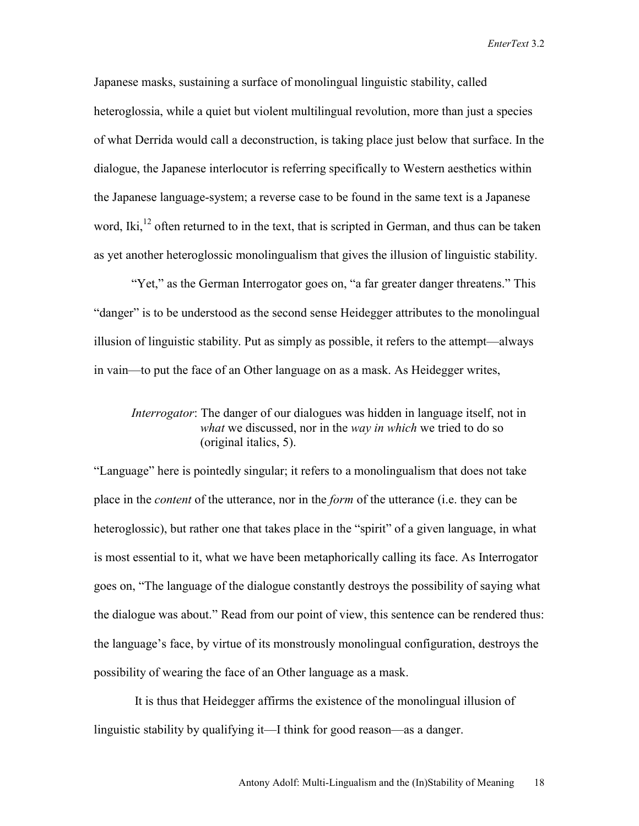Japanese masks, sustaining a surface of monolingual linguistic stability, called heteroglossia, while a quiet but violent multilingual revolution, more than just a species of what Derrida would call a deconstruction, is taking place just below that surface. In the dialogue, the Japanese interlocutor is referring specifically to Western aesthetics within the Japanese language-system; a reverse case to be found in the same text is a Japanese word, Iki,<sup>12</sup> often returned to in the text, that is scripted in German, and thus can be taken as yet another heteroglossic monolingualism that gives the illusion of linguistic stability.

 "Yet," as the German Interrogator goes on, "a far greater danger threatens." This "danger" is to be understood as the second sense Heidegger attributes to the monolingual illusion of linguistic stability. Put as simply as possible, it refers to the attempt—always in vain—to put the face of an Other language on as a mask. As Heidegger writes,

## *Interrogator*: The danger of our dialogues was hidden in language itself, not in *what* we discussed, nor in the *way in which* we tried to do so (original italics, 5).

"Language" here is pointedly singular; it refers to a monolingualism that does not take place in the *content* of the utterance, nor in the *form* of the utterance (i.e. they can be heteroglossic), but rather one that takes place in the "spirit" of a given language, in what is most essential to it, what we have been metaphorically calling its face. As Interrogator goes on, "The language of the dialogue constantly destroys the possibility of saying what the dialogue was about." Read from our point of view, this sentence can be rendered thus: the language's face, by virtue of its monstrously monolingual configuration, destroys the possibility of wearing the face of an Other language as a mask.

 It is thus that Heidegger affirms the existence of the monolingual illusion of linguistic stability by qualifying it—I think for good reason—as a danger.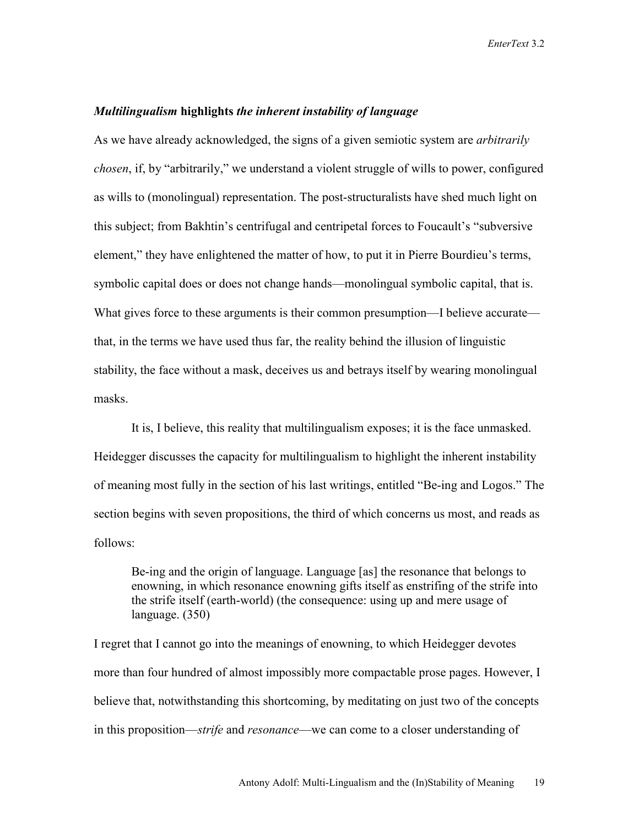#### *Multilingualism* **highlights** *the inherent instability of language*

As we have already acknowledged, the signs of a given semiotic system are *arbitrarily chosen*, if, by "arbitrarily," we understand a violent struggle of wills to power, configured as wills to (monolingual) representation. The post-structuralists have shed much light on this subject; from Bakhtin's centrifugal and centripetal forces to Foucault's "subversive element," they have enlightened the matter of how, to put it in Pierre Bourdieu's terms, symbolic capital does or does not change hands—monolingual symbolic capital, that is. What gives force to these arguments is their common presumption—I believe accurate that, in the terms we have used thus far, the reality behind the illusion of linguistic stability, the face without a mask, deceives us and betrays itself by wearing monolingual masks.

 It is, I believe, this reality that multilingualism exposes; it is the face unmasked. Heidegger discusses the capacity for multilingualism to highlight the inherent instability of meaning most fully in the section of his last writings, entitled "Be-ing and Logos." The section begins with seven propositions, the third of which concerns us most, and reads as follows:

 Be-ing and the origin of language. Language [as] the resonance that belongs to enowning, in which resonance enowning gifts itself as enstrifing of the strife into the strife itself (earth-world) (the consequence: using up and mere usage of language. (350)

I regret that I cannot go into the meanings of enowning, to which Heidegger devotes more than four hundred of almost impossibly more compactable prose pages. However, I believe that, notwithstanding this shortcoming, by meditating on just two of the concepts in this proposition—*strife* and *resonance*—we can come to a closer understanding of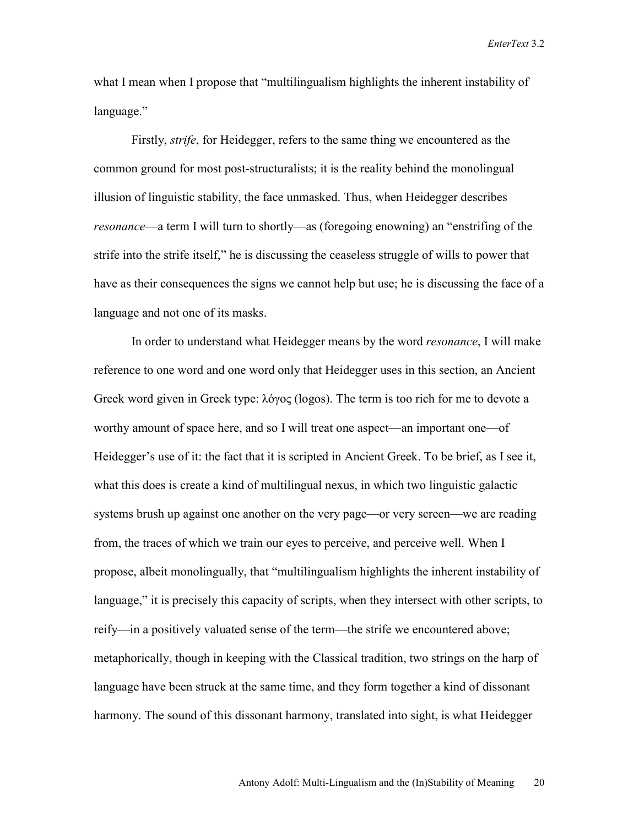what I mean when I propose that "multilingualism highlights the inherent instability of language."

Firstly, *strife*, for Heidegger, refers to the same thing we encountered as the common ground for most post-structuralists; it is the reality behind the monolingual illusion of linguistic stability, the face unmasked. Thus, when Heidegger describes *resonance*—a term I will turn to shortly—as (foregoing enowning) an "enstrifing of the strife into the strife itself," he is discussing the ceaseless struggle of wills to power that have as their consequences the signs we cannot help but use; he is discussing the face of a language and not one of its masks.

 In order to understand what Heidegger means by the word *resonance*, I will make reference to one word and one word only that Heidegger uses in this section, an Ancient Greek word given in Greek type: λόγος (logos). The term is too rich for me to devote a worthy amount of space here, and so I will treat one aspect—an important one—of Heidegger's use of it: the fact that it is scripted in Ancient Greek. To be brief, as I see it, what this does is create a kind of multilingual nexus, in which two linguistic galactic systems brush up against one another on the very page—or very screen—we are reading from, the traces of which we train our eyes to perceive, and perceive well. When I propose, albeit monolingually, that "multilingualism highlights the inherent instability of language," it is precisely this capacity of scripts, when they intersect with other scripts, to reify—in a positively valuated sense of the term—the strife we encountered above; metaphorically, though in keeping with the Classical tradition, two strings on the harp of language have been struck at the same time, and they form together a kind of dissonant harmony. The sound of this dissonant harmony, translated into sight, is what Heidegger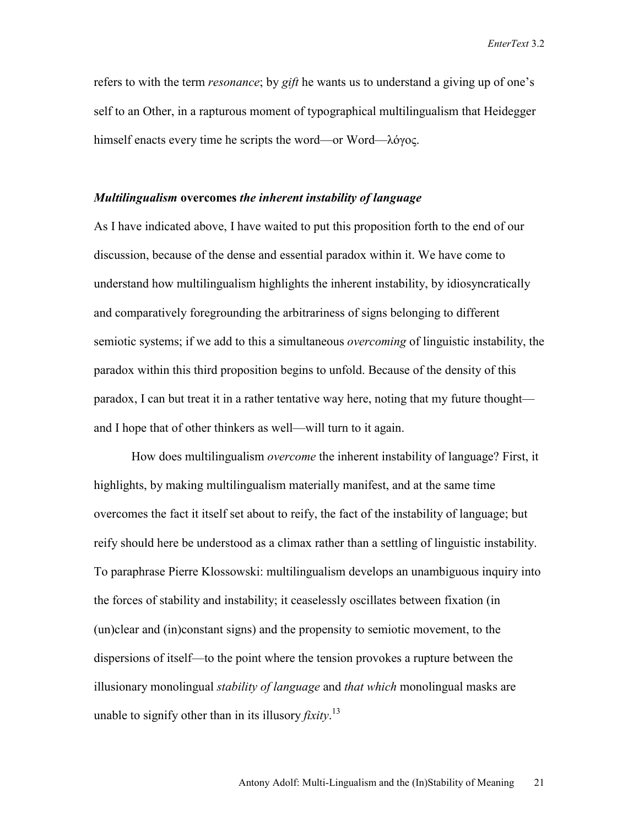refers to with the term *resonance*; by *gift* he wants us to understand a giving up of one's self to an Other, in a rapturous moment of typographical multilingualism that Heidegger himself enacts every time he scripts the word—or Word—λόγος.

#### *Multilingualism* **overcomes** *the inherent instability of language*

As I have indicated above, I have waited to put this proposition forth to the end of our discussion, because of the dense and essential paradox within it. We have come to understand how multilingualism highlights the inherent instability, by idiosyncratically and comparatively foregrounding the arbitrariness of signs belonging to different semiotic systems; if we add to this a simultaneous *overcoming* of linguistic instability, the paradox within this third proposition begins to unfold. Because of the density of this paradox, I can but treat it in a rather tentative way here, noting that my future thought and I hope that of other thinkers as well—will turn to it again.

How does multilingualism *overcome* the inherent instability of language? First, it highlights, by making multilingualism materially manifest, and at the same time overcomes the fact it itself set about to reify, the fact of the instability of language; but reify should here be understood as a climax rather than a settling of linguistic instability. To paraphrase Pierre Klossowski: multilingualism develops an unambiguous inquiry into the forces of stability and instability; it ceaselessly oscillates between fixation (in (un)clear and (in)constant signs) and the propensity to semiotic movement, to the dispersions of itself—to the point where the tension provokes a rupture between the illusionary monolingual *stability of language* and *that which* monolingual masks are unable to signify other than in its illusory *fixity*. 13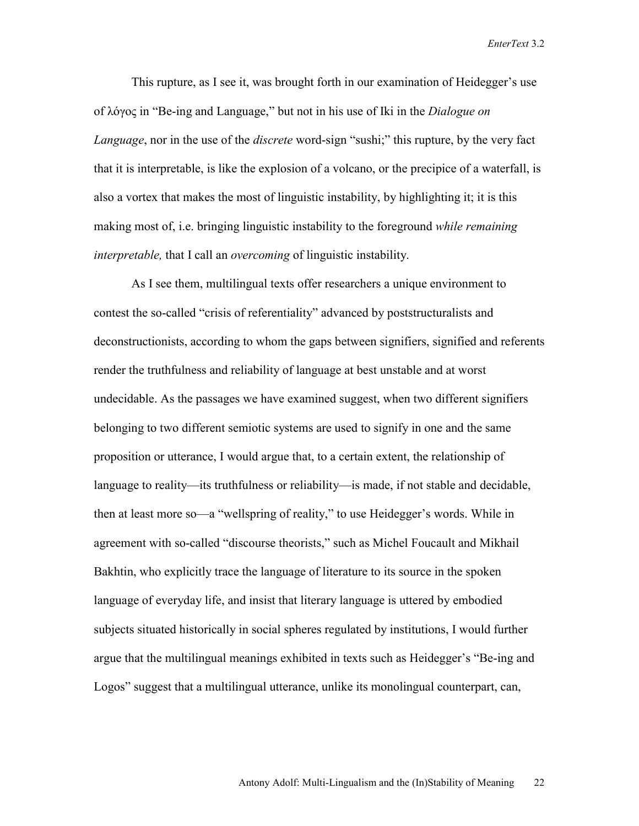This rupture, as I see it, was brought forth in our examination of Heidegger's use of λόγος in "Be-ing and Language," but not in his use of Iki in the *Dialogue on Language*, nor in the use of the *discrete* word-sign "sushi;" this rupture, by the very fact that it is interpretable, is like the explosion of a volcano, or the precipice of a waterfall, is also a vortex that makes the most of linguistic instability, by highlighting it; it is this making most of, i.e. bringing linguistic instability to the foreground *while remaining interpretable,* that I call an *overcoming* of linguistic instability.

As I see them, multilingual texts offer researchers a unique environment to contest the so-called "crisis of referentiality" advanced by poststructuralists and deconstructionists, according to whom the gaps between signifiers, signified and referents render the truthfulness and reliability of language at best unstable and at worst undecidable. As the passages we have examined suggest, when two different signifiers belonging to two different semiotic systems are used to signify in one and the same proposition or utterance, I would argue that, to a certain extent, the relationship of language to reality—its truthfulness or reliability—is made, if not stable and decidable, then at least more so—a "wellspring of reality," to use Heidegger's words. While in agreement with so-called "discourse theorists," such as Michel Foucault and Mikhail Bakhtin, who explicitly trace the language of literature to its source in the spoken language of everyday life, and insist that literary language is uttered by embodied subjects situated historically in social spheres regulated by institutions, I would further argue that the multilingual meanings exhibited in texts such as Heidegger's "Be-ing and Logos" suggest that a multilingual utterance, unlike its monolingual counterpart, can,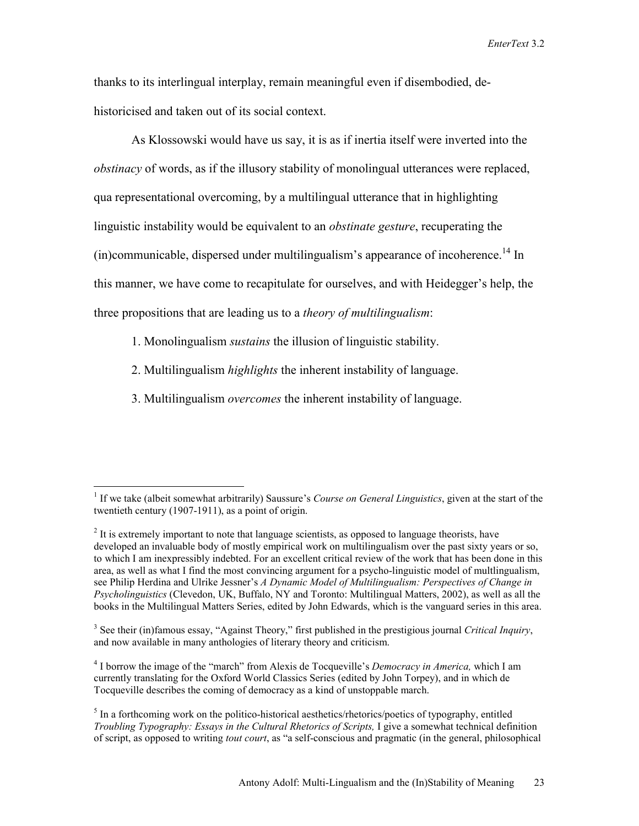thanks to its interlingual interplay, remain meaningful even if disembodied, dehistoricised and taken out of its social context.

As Klossowski would have us say, it is as if inertia itself were inverted into the *obstinacy* of words, as if the illusory stability of monolingual utterances were replaced, qua representational overcoming, by a multilingual utterance that in highlighting linguistic instability would be equivalent to an *obstinate gesture*, recuperating the  $(in)$ communicable, dispersed under multilingualism's appearance of incoherence.<sup>14</sup> In this manner, we have come to recapitulate for ourselves, and with Heidegger's help, the three propositions that are leading us to a *theory of multilingualism*:

1. Monolingualism *sustains* the illusion of linguistic stability.

 $\overline{a}$ 

- 2. Multilingualism *highlights* the inherent instability of language.
- 3. Multilingualism *overcomes* the inherent instability of language.

<sup>&</sup>lt;sup>1</sup> If we take (albeit somewhat arbitrarily) Saussure's *Course on General Linguistics*, given at the start of the twentieth century (1907-1911), as a point of origin.

 $2<sup>2</sup>$  It is extremely important to note that language scientists, as opposed to language theorists, have developed an invaluable body of mostly empirical work on multilingualism over the past sixty years or so, to which I am inexpressibly indebted. For an excellent critical review of the work that has been done in this area, as well as what I find the most convincing argument for a psycho-linguistic model of multlingualism, see Philip Herdina and Ulrike Jessner's *A Dynamic Model of Multilingualism: Perspectives of Change in Psycholinguistics* (Clevedon, UK, Buffalo, NY and Toronto: Multilingual Matters, 2002), as well as all the books in the Multilingual Matters Series, edited by John Edwards, which is the vanguard series in this area.

<sup>&</sup>lt;sup>3</sup> See their (in)famous essay, "Against Theory," first published in the prestigious journal *Critical Inquiry*, and now available in many anthologies of literary theory and criticism.

<sup>4</sup> I borrow the image of the "march" from Alexis de Tocqueville's *Democracy in America,* which I am currently translating for the Oxford World Classics Series (edited by John Torpey), and in which de Tocqueville describes the coming of democracy as a kind of unstoppable march.

 $<sup>5</sup>$  In a forthcoming work on the politico-historical aesthetics/rhetorics/poetics of typography, entitled</sup> *Troubling Typography: Essays in the Cultural Rhetorics of Scripts, I give a somewhat technical definition* of script, as opposed to writing *tout court*, as "a self-conscious and pragmatic (in the general, philosophical